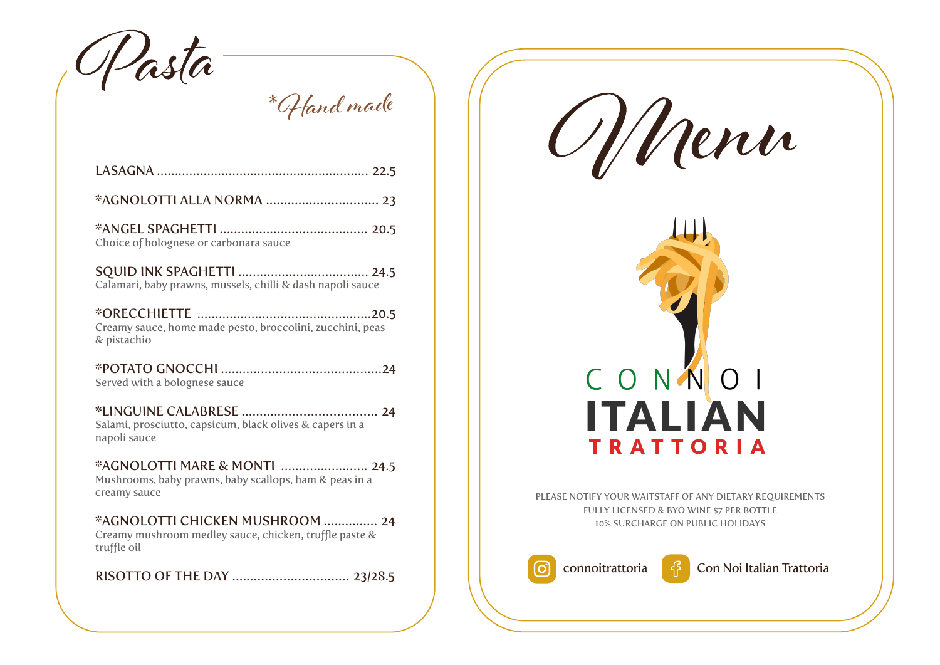Pasta-

## \*Hand made

| Choice of bolognese or carbonara sauce                                                                   |  |
|----------------------------------------------------------------------------------------------------------|--|
| Calamari, baby prawns, mussels, chilli & dash napoli sauce                                               |  |
| Creamy sauce, home made pesto, broccolini, zucchini, peas<br>& pistachio                                 |  |
| Served with a bolognese sauce                                                                            |  |
| Salami, prosciutto, capsicum, black olives & capers in a<br>napoli sauce                                 |  |
| *AGNOLOTTI MARE & MONTI  24.5<br>Mushrooms, baby prawns, baby scallops, ham & peas in a<br>creamy sauce  |  |
| *AGNOLOTTI CHICKEN MUSHROOM  24<br>Creamy mushroom medley sauce, chicken, truffle paste &<br>truffle oil |  |
|                                                                                                          |  |





PLEASE NOTIFY YOUR WAITSTAFF OF ANY DIETARY REQUIREMENTS FULLY LICENSED & BYO WINE \$7 PER BOTTLE 10% SURCHARGE ON PUBLIC HOLIDAYS



connoitrattoria  $\begin{bmatrix} \begin{matrix} 1 \\ 1 \end{matrix} \end{bmatrix}$  Con Noi Italian Trattoria